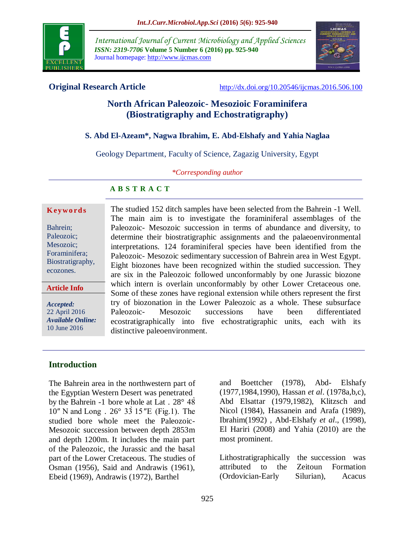

*International Journal of Current Microbiology and Applied Sciences ISSN: 2319-7706* **Volume 5 Number 6 (2016) pp. 925-940** Journal homepage: http://www.ijcmas.com



**Original Research Article** <http://dx.doi.org/10.20546/ijcmas.2016.506.100>

# **North African Paleozoic- Mesozioic Foraminifera (Biostratigraphy and Echostratigraphy)**

# **S. Abd El-Azeam\*, Nagwa Ibrahim, E. Abd-Elshafy and Yahia Naglaa**

Geology Department, Faculty of Science, Zagazig University, Egypt

*\*Corresponding author*

# **A B S T R A C T**

#### **K ey w o rd s**

Bahrein; Paleozoic; Mesozoic: Foraminifera; Biostratigraphy, ecozones.

**Article Info**

*Accepted:*  22 April 2016 *Available Online:* 10 June 2016

The studied 152 ditch samples have been selected from the Bahrein -1 Well. The main aim is to investigate the foraminiferal assemblages of the Paleozoic- Mesozoic succession in terms of abundance and diversity, to determine their biostratigraphic assignments and the palaeoenvironmental interpretations. 124 foraminiferal species have been identified from the Paleozoic- Mesozoic sedimentary succession of Bahrein area in West Egypt. Eight biozones have been recognized within the studied succession. They are six in the Paleozoic followed unconformably by one Jurassic biozone which intern is overlain unconformably by other Lower Cretaceous one. Some of these zones have regional extension while others represent the first try of biozonation in the Lower Paleozoic as a whole. These subsurface Paleozoic- Mesozoic successions have been differentiated ecostratigraphically into five echostratigraphic units, each with its distinctive paleoenvironment.

# **Introduction**

The Bahrein area in the northwestern part of the Egyptian Western Desert was penetrated by the Bahrein -1 bore whole at Lat . 28° 48̀ 10″ N and Long . 26° 33̀15″E (Fig.1). The studied bore whole meet the Paleozoic-Mesozoic succession between depth 2853m and depth 1200m. It includes the main part of the Paleozoic, the Jurassic and the basal part of the Lower Cretaceous. The studies of Osman (1956), Said and Andrawis (1961), Ebeid (1969), Andrawis (1972), Barthel

and Boettcher (1978), Abd- Elshafy (1977,1984,1990), Hassan *et al*. (1978a,b,c), Abd Elsattar (1979,1982), Klitzsch and Nicol (1984), Hassanein and Arafa (1989), Ibrahim(1992) , Abd-Elshafy *et al*., (1998), El Hariri (2008) and Yahia (2010) are the most prominent.

Lithostratigraphically the succession was attributed to the Zeitoun Formation (Ordovician-Early Silurian), Acacus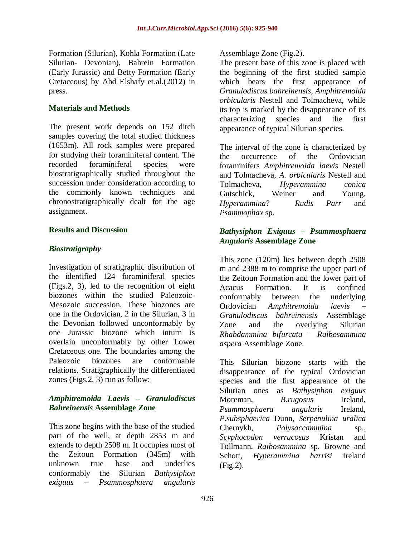Formation (Silurian), Kohla Formation (Late Silurian- Devonian), Bahrein Formation (Early Jurassic) and Betty Formation (Early Cretaceous) by Abd Elshafy et.al.(2012) in press.

# **Materials and Methods**

The present work depends on 152 ditch samples covering the total studied thickness (1653m). All rock samples were prepared for studying their foraminiferal content. The recorded foraminiferal species were biostratigraphically studied throughout the succession under consideration according to the commonly known techniques and chronostratigraphically dealt for the age assignment.

# **Results and Discussion**

# *Biostratigraphy*

Investigation of stratigraphic distribution of the identified 124 foraminiferal species (Figs.2, 3), led to the recognition of eight biozones within the studied Paleozoic-Mesozoic succession. These biozones are one in the Ordovician, 2 in the Silurian, 3 in the Devonian followed unconformably by one Jurassic biozone which inturn is overlain unconformably by other Lower Cretaceous one. The boundaries among the Paleozoic biozones are conformable relations. Stratigraphically the differentiated zones (Figs.2, 3) run as follow:

# *Amphitremoida Laevis – Granulodiscus Bahreinensis* **Assemblage Zone**

This zone begins with the base of the studied part of the well, at depth 2853 m and extends to depth 2508 m. It occupies most of the Zeitoun Formation (345m) with unknown true base and underlies conformably the Silurian *Bathysiphon exiguus – Psammosphaera angularis*

Assemblage Zone (Fig.2).

The present base of this zone is placed with the beginning of the first studied sample which bears the first appearance of *Granulodiscus bahreinensis*, *Amphitremoida orbicularis* Nestell and Tolmacheva, while its top is marked by the disappearance of its characterizing species and the first appearance of typical Silurian species.

The interval of the zone is characterized by the occurrence of the Ordovician foraminifers *Amphitremoida laevis* Nestell and Tolmacheva, *A. orbicularis* Nestell and Tolmacheva, *Hyperammina conica*  Gutschick, Weiner and Young, *Hyperammina*? *Rudis Parr* and *Psammophax* sp.

# *Bathysiphon Exiguus – Psammosphaera Angularis* **Assemblage Zone**

This zone (120m) lies between depth 2508 m and 2388 m to comprise the upper part of the Zeitoun Formation and the lower part of Acacus Formation. It is confined conformably between the underlying Ordovician *Amphitremoida laevis* – *Granulodiscus bahreinensis* Assemblage Zone and the overlying Silurian *Rhabdammina bifurcata – Raibosammina aspera* Assemblage Zone.

This Silurian biozone starts with the disappearance of the typical Ordovician species and the first appearance of the Silurian ones as *Bathysiphon exiguus* Moreman, *B.rugosus* Ireland, *Psammosphaera angularis* Ireland, *P.subsphaerica* Dunn, *Serpenulina uralica* Chernykh, *Polysaccammina* sp., *Scyphocodon verrucosus* Kristan and Tollmann, *Raibosammina* sp. Browne and Schott, *Hyperammina harrisi* Ireland (Fig.2).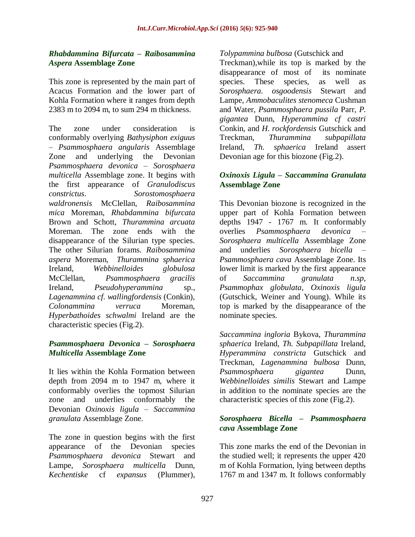# *Rhabdammina Bifurcata – Raibosammina Aspera* **Assemblage Zone**

This zone is represented by the main part of Acacus Formation and the lower part of Kohla Formation where it ranges from depth 2383 m to 2094 m, to sum 294 m thickness.

The zone under consideration is conformably overlying *Bathysiphon exiguus*  – *Psammosphaera angularis* Assemblage Zone and underlying the Devonian *Psammosphaera devonica – Sorosphaera multicella* Assemblage zone. It begins with the first appearance of *Granulodiscus constrictus*. *Sorostomosphaera waldronensis* McClellan, *Raibosammina mica* Moreman, *Rhabdammina bifurcata* Brown and Schott, *Thurammina arcuata* Moreman. The zone ends with the disappearance of the Silurian type species. The other Silurian forams. *Raibosammina aspera* Moreman, *Thurammina sphaerica* Ireland, *Webbinelloides globulosa* McClellan, *Psammosphaera gracilis* Ireland, *Pseudohyperammina* sp., *Lagenammina cf. wallingfordensis* (Conkin), *Colonammina verruca* Moreman, *Hyperbathoides schwalmi* Ireland are the characteristic species (Fig.2).

# *Psammosphaera Devonica – Sorosphaera Multicella* **Assemblage Zone**

It lies within the Kohla Formation between depth from 2094 m to 1947 m, where it conformably overlies the topmost Silurian zone and underlies conformably the Devonian *Oxinoxis ligula – Saccammina granulata* Assemblage Zone.

The zone in question begins with the first appearance of the Devonian species *Psammosphaera devonica* Stewart and Lampe, *Sorosphaera multicella* Dunn, *Kechentiske* cf *expansus* (Plummer),

# *Tolypammina bulbosa* (Gutschick and

Treckman),while its top is marked by the disappearance of most of its nominate species. These species, as well as *Sorosphaera. osgoodensis* Stewart and Lampe, *Ammobaculites stenomeca* Cushman and Water, *Psammosphaera pussila* Parr, *P. gigantea* Dunn, *Hyperammina cf castri* Conkin, and *H. rockfordensis* Gutschick and Treckman, *Thurammina subpapillata* Ireland, *Th. sphaerica* Ireland assert Devonian age for this biozone (Fig.2).

## *Oxinoxis Ligula – Saccammina Granulata*  **Assemblage Zone**

This Devonian biozone is recognized in the upper part of Kohla Formation between depths 1947 - 1767 m. It conformably overlies *Psammosphaera devonica – Sorosphaera multicella* Assemblage Zone and underlies *Sorosphaera bicella – Psammosphaera cava* Assemblage Zone. Its lower limit is marked by the first appearance of *Saccammina granulata n.sp*, *Psammophax globulata, Oxinoxis ligula* (Gutschick, Weiner and Young). While its top is marked by the disappearance of the nominate species.

*Saccammina ingloria* Bykova, *Thurammina sphaerica* Ireland, *Th. Subpapillata* Ireland, *Hyperammina constricta* Gutschick and Treckman, *Lagenammina bulbosa* Dunn, *Psammosphaera gigantea* Dunn, *Webbinelloides similis* Stewart and Lampe in addition to the nominate species are the characteristic species of this zone (Fig.2).

# *Sorosphaera Bicella – Psammosphaera cava* **Assemblage Zone**

This zone marks the end of the Devonian in the studied well; it represents the upper 420 m of Kohla Formation, lying between depths 1767 m and 1347 m. It follows conformably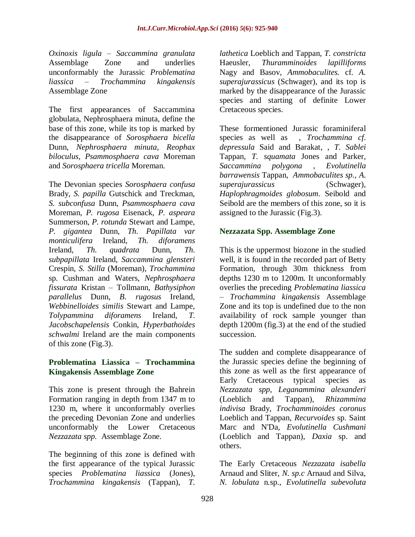*Oxinoxis ligula – Saccammina granulata*  Assemblage Zone and underlies unconformably the Jurassic *Problematina liassica – Trochammina kingakensis* Assemblage Zone

The first appearances of Saccammina globulata, Nephrosphaera minuta, define the base of this zone, while its top is marked by the disappearance of *Sorosphaera bicella* Dunn, *Nephrosphaera minuta*, *Reophax biloculus*, *Psammosphaera cava* Moreman and *Sorosphaera tricella* Moreman.

The Devonian species *Sorosphaera confusa* Brady, *S. papilla* Gutschick and Treckman, *S. subconfusa* Dunn, *Psammosphaera cava* Moreman, *P. rugosa* Eisenack, *P. aspeara* Summerson, *P. rotunda* Stewart and Lampe, *P. gigantea* Dunn, *Th. Papillata var monticulifera* Ireland, *Th. diforamens* Ireland, *Th. quadrata* Dunn, *Th. subpapillata* Ireland, *Saccammina glensteri* Crespin, *S. Stilla* (Moreman), *Trochammina*  sp*.* Cushman and Waters, *Nephrosphaera fissurata* Kristan – Tollmann, *Bathysiphon parallelus* Dunn, *B. rugosus* Ireland, *Webbinelloides similis* Stewart and Lampe, *Tolypammina diforamens* Ireland, *T. Jacobschapelensis* Conkin, *Hyperbathoides schwalmi* Ireland are the main components of this zone (Fig.3).

# **Problematina Liassica – Trochammina Kingakensis Assemblage Zone**

This zone is present through the Bahrein Formation ranging in depth from 1347 m to 1230 m, where it unconformably overlies the preceding Devonian Zone and underlies unconformably the Lower Cretaceous *Nezzazata spp.* Assemblage Zone.

The beginning of this zone is defined with the first appearance of the typical Jurassic species *Problematina liassica* (Jones), *Trochammina kingakensis* (Tappan), *T.* 

*lathetica* Loeblich and Tappan, *T. constricta* Haeusler, *Thuramminoides lapilliforms* Nagy and Basov, *Ammobaculites.* cf. *A. superajurassicus* (Schwager), and its top is marked by the disappearance of the Jurassic species and starting of definite Lower Cretaceous species.

These formentioned Jurassic foraminiferal species as well as , *Trochammina cf. depressula* Said and Barakat, , *T. Sablei* Tappan, *T. squamata* Jones and Parker, *Saccammina polygona* , *Evolutinella barrawensis* Tappan, *Ammobaculites sp., A. superajurassicus* (Schwager), *Haplophragmoides globosum*. Seibold and Seibold are the members of this zone, so it is assigned to the Jurassic (Fig.3).

# **Nezzazata Spp. Assemblage Zone**

This is the uppermost biozone in the studied well, it is found in the recorded part of Betty Formation, through 30m thickness from depths 1230 m to 1200m. It unconformably overlies the preceding *Problematina liassica – Trochammina kingakensis* Assemblage Zone and its top is undefined due to the non availability of rock sample younger than depth 1200m (fig.3) at the end of the studied succession.

The sudden and complete disappearance of the Jurassic species define the beginning of this zone as well as the first appearance of Early Cretaceous typical species as *Nezzazata spp*, *Leganammina alexanderi* (Loeblich and Tappan), *Rhizammina indivisa* Brady, *Trochamminoides coronus* Loeblich and Tappan, *Recurvoides* sp. Saint Marc and N'Da, *Evolutinella Cushmani* (Loeblich and Tappan), *Daxia* sp. and others.

The Early Cretaceous *Nezzazata isabella* Arnaud and Sliter, *N. sp.c* Arnaud and Silva, *N. lobulata* n*.*sp., *Evolutinella subevoluta*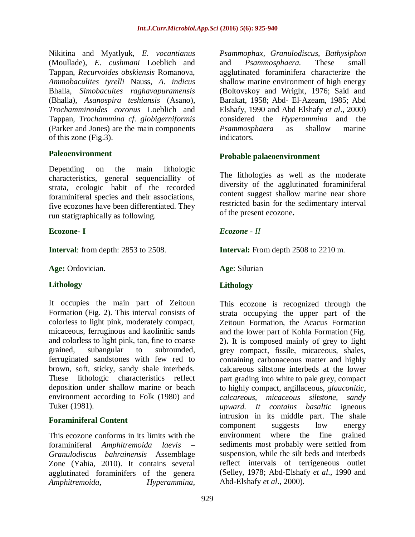Nikitina and Myatlyuk, *E. vocantianus* (Moullade), *E. cushmani* Loeblich and Tappan, *Recurvoides obskiensis* Romanova, *Ammobaculites tyrelli* Nauss, *A. indicus* Bhalla, *Simobacuites raghavapuramensis* (Bhalla), *Asanospira teshiansis* (Asano), *Trochamminoides coronus* Loeblich and Tappan, *Trochammina cf. globigerniformis* (Parker and Jones) are the main components of this zone (Fig.3).

### **Paleoenvironment**

Depending on the main lithologic characteristics, general sequenciallity of strata, ecologic habit of the recorded foraminiferal species and their associations, five ecozones have been differentiated. They run statigraphically as following.

# **Ecozone- I**

**Interval**: from depth: 2853 to 2508.

**Age:** Ordovician.

# **Lithology**

It occupies the main part of Zeitoun Formation (Fig. 2). This interval consists of colorless to light pink, moderately compact, micaceous, ferruginous and kaolinitic sands and colorless to light pink, tan, fine to coarse grained, subangular to subrounded, ferruginated sandstones with few red to brown, soft, sticky, sandy shale interbeds. These lithologic characteristics reflect deposition under shallow marine or beach environment according to Folk (1980) and Tuker (1981).

#### **Foraminiferal Content**

This ecozone conforms in its limits with the foraminiferal *Amphitremoida laevis – Granulodiscus bahrainensis* Assemblage Zone (Yahia, 2010). It contains several agglutinated foraminifers of the genera *Amphitremoida, Hyperammina,* 

*Psammophax, Granulodiscus, Bathysiphon* and *Psammosphaera.* These small agglutinated foraminifera characterize the shallow marine environment of high energy (Boltovskoy and Wright, 1976; Said and Barakat, 1958; Abd- El-Azeam, 1985; Abd Elshafy, 1990 and Abd Elshafy *et al*., 2000) considered the *Hyperammina* and the *Psammosphaera* as shallow marine indicators.

### **Probable palaeoenvironment**

The lithologies as well as the moderate diversity of the agglutinated foraminiferal content suggest shallow marine near shore restricted basin for the sedimentary interval of the present ecozone**.**

# *Ecozone - II*

**Interval:** From depth 2508 to 2210 m.

**Age**: Silurian

# **Lithology**

This ecozone is recognized through the strata occupying the upper part of the Zeitoun Formation, the Acacus Formation and the lower part of Kohla Formation (Fig. 2)**.** It is composed mainly of grey to light grey compact, fissile, micaceous, shales, containing carbonaceous matter and highly calcareous siltstone interbeds at the lower part grading into white to pale grey, compact to highly compact, argillaceous, *glauconitic, calcareous, micaceous siltstone, sandy upward. It contains basaltic* igneous intrusion in its middle part. The shale component suggests low energy environment where the fine grained sediments most probably were settled from suspension, while the silt beds and interbeds reflect intervals of terrigeneous outlet (Selley, 1978; Abd-Elshafy *et al*., 1990 and Abd-Elshafy *et al*., 2000).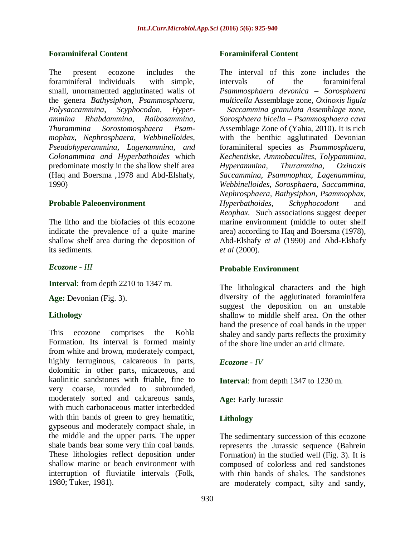# **Foraminiferal Content**

The present ecozone includes the foraminiferal individuals with simple, small, unornamented agglutinated walls of the genera *Bathysiphon, Psammosphaera, Polysaccammina*, *Scyphocodon, Hyperammina Rhabdammina*, *Raibosammina, Thurammina Sorostomosphaera Psammophax, Nephrosphaera*, *Webbinelloides, Pseudohyperammina*, *Lagenammina*, *and Colonammina and Hyperbathoides* which predominate mostly in the shallow shelf area (Haq and Boersma ,1978 and Abd-Elshafy, 1990)

# **Probable Paleoenvironment**

The litho and the biofacies of this ecozone indicate the prevalence of a quite marine shallow shelf area during the deposition of its sediments.

*Ecozone - III*

**Interval**: from depth 2210 to 1347 m.

**Age:** Devonian (Fig. 3).

# **Lithology**

This ecozone comprises the Kohla Formation. Its interval is formed mainly from white and brown, moderately compact, highly ferruginous, calcareous in parts, dolomitic in other parts, micaceous, and kaolinitic sandstones with friable, fine to very coarse, rounded to subrounded, moderately sorted and calcareous sands, with much carbonaceous matter interbedded with thin bands of green to grey hematitic, gypseous and moderately compact shale, in the middle and the upper parts. The upper shale bands bear some very thin coal bands. These lithologies reflect deposition under shallow marine or beach environment with interruption of fluviatile intervals (Folk, 1980; Tuker, 1981).

### **Foraminiferal Content**

The interval of this zone includes the intervals of the foraminiferal *Psammosphaera devonica – Sorosphaera multicella* Assemblage zone, *Oxinoxis ligula – Saccammina granulata Assemblage zone, Sorosphaera bicella – Psammosphaera cava* Assemblage Zone of (Yahia, 2010). It is rich with the benthic agglutinated Devonian foraminiferal species as *Psammosphaera*, *Kechentiske*, *Ammobaculites, Tolypammina*, *Hyperammina, Thurammina, Oxinoxis Saccammina, Psammophax, Lagenammina, Webbinelloides, Sorosphaera, Saccammina, Nephrosphaera, Bathysiphon*, *Psammophax, Hyperbathoides*, *Schyphocodont* and *Reophax.* Such associations suggest deeper marine environment (middle to outer shelf area) according to Haq and Boersma (1978), Abd-Elshafy *et al* (1990) and Abd-Elshafy *et al* (2000).

## **Probable Environment**

The lithological characters and the high diversity of the agglutinated foraminifera suggest the deposition on an unstable shallow to middle shelf area. On the other hand the presence of coal bands in the upper shaley and sandy parts reflects the proximity of the shore line under an arid climate.

# *Ecozone - IV*

**Interval**: from depth 1347 to 1230 m.

**Age:** Early Jurassic

# **Lithology**

The sedimentary succession of this ecozone represents the Jurassic sequence (Bahrein Formation) in the studied well (Fig. 3). It is composed of colorless and red sandstones with thin bands of shales. The sandstones are moderately compact, silty and sandy,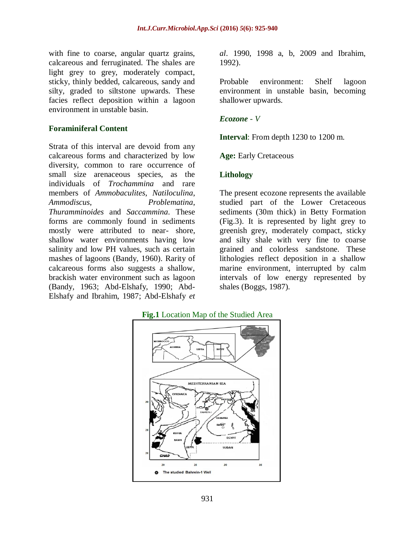with fine to coarse, angular quartz grains, calcareous and ferruginated. The shales are light grey to grey, moderately compact, sticky, thinly bedded, calcareous, sandy and silty, graded to siltstone upwards. These facies reflect deposition within a lagoon environment in unstable basin.

#### **Foraminiferal Content**

Strata of this interval are devoid from any calcareous forms and characterized by low diversity, common to rare occurrence of small size arenaceous species, as the individuals of *Trochammina* and rare members of *Ammobaculites*, *Natiloculina*, *Ammodiscus*, *Problematina*, *Thuramminoides* and *Saccammina*. These forms are commonly found in sediments mostly were attributed to near- shore, shallow water environments having low salinity and low PH values, such as certain mashes of lagoons (Bandy, 1960). Rarity of calcareous forms also suggests a shallow, brackish water environment such as lagoon (Bandy, 1963; Abd-Elshafy, 1990; Abd-Elshafy and Ibrahim, 1987; Abd-Elshafy *et* 

*al*. 1990, 1998 a, b, 2009 and Ibrahim, 1992).

Probable environment: Shelf lagoon environment in unstable basin, becoming shallower upwards.

#### *Ecozone - V*

**Interval**: From depth 1230 to 1200 m.

**Age:** Early Cretaceous

#### **Lithology**

The present ecozone represents the available studied part of the Lower Cretaceous sediments (30m thick) in Betty Formation (Fig.3). It is represented by light grey to greenish grey, moderately compact, sticky and silty shale with very fine to coarse grained and colorless sandstone. These lithologies reflect deposition in a shallow marine environment, interrupted by calm intervals of low energy represented by shales (Boggs, 1987).

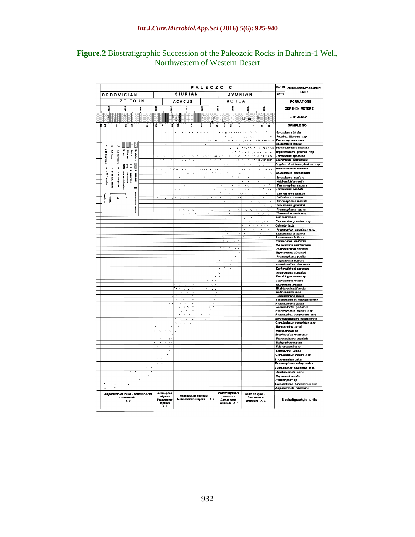|                                                                                                                  | RATHER                                                                           | CHRONOSTRATIGRAPHIC                                                          |                                                                                  |                                                                                                 |                                                                                                                    |                                                       |                                                            |
|------------------------------------------------------------------------------------------------------------------|----------------------------------------------------------------------------------|------------------------------------------------------------------------------|----------------------------------------------------------------------------------|-------------------------------------------------------------------------------------------------|--------------------------------------------------------------------------------------------------------------------|-------------------------------------------------------|------------------------------------------------------------|
| <b>ORDOVICIAN</b>                                                                                                | PALEOZOIC<br><b>SIURIAN</b>                                                      |                                                                              | DVONIAN                                                                          |                                                                                                 | <b>SYSTEM</b>                                                                                                      | <b>UNITS</b>                                          |                                                            |
| ZEITOUN                                                                                                          | <b>ACACUS</b>                                                                    |                                                                              | KOHLA                                                                            |                                                                                                 |                                                                                                                    | <b>FORMATIONS</b>                                     |                                                            |
| oosz<br>õ<br>jest                                                                                                | 00SZ<br>ě                                                                        | ă<br>paz                                                                     | 80 LZ                                                                            | pooz                                                                                            | g<br>흞                                                                                                             |                                                       | <b>DEPTH(IN METERS)</b>                                    |
| ă.                                                                                                               | ₹                                                                                |                                                                              | R                                                                                |                                                                                                 |                                                                                                                    |                                                       | LITHOLOGY                                                  |
|                                                                                                                  |                                                                                  |                                                                              | 胐                                                                                |                                                                                                 | 肼<br>邮<br>Ŧ.                                                                                                       |                                                       |                                                            |
| Þ<br>ġ<br>Ė<br>렱<br>ã<br>á                                                                                       | 함<br>긟<br>ã                                                                      | â<br>ផ្ល<br>ġ                                                                | ŵ,<br>g                                                                          | Ġ,<br>g<br>a                                                                                    | à.<br>ä<br>g                                                                                                       |                                                       | SAMPLE NO.                                                 |
|                                                                                                                  | $\epsilon$                                                                       | $\sim$<br>$\sim$<br>$\sim$ $\sim$ $\sim$                                     |                                                                                  | $\tilde{\phantom{a}}$<br>$\blacksquare$<br>$\overline{\phantom{a}}$<br>$\overline{\phantom{a}}$ | $\ddot{\phantom{0}}$<br>$\ddot{\phantom{0}}$<br>$\ddot{\phantom{0}}$                                               | Sorosphaera bicella<br>Reophax biloculus n.sp.        |                                                            |
|                                                                                                                  |                                                                                  |                                                                              | 0 <sub>k</sub><br>۰.                                                             | $\sim$ $\times$<br>$\blacksquare$                                                               | $\overline{80}$<br>$\sim 0$ <sup>*</sup>                                                                           | Psammosphaera cava<br>×                               |                                                            |
| $\circ$<br>×                                                                                                     |                                                                                  |                                                                              |                                                                                  |                                                                                                 | $\overline{\phantom{0}}$                                                                                           | Sorosphaera tricella                                  |                                                            |
|                                                                                                                  |                                                                                  |                                                                              |                                                                                  | $\boldsymbol{\mathsf{s}}$<br>$\,$ $\,$<br>$\overline{\phantom{0}}$                              | <br>₹<br>w x                                                                                                       | Psammosohaera qiqantea<br>×                           |                                                            |
| <b>La Very</b><br>Shale<br><b>Siliztone</b><br>Sands<br>Sandstone<br><b>35 Rare</b>                              | $\overline{\phantom{0}}$<br>$\ddot{\phantom{0}}$                                 | $\overline{\phantom{a}}$<br>$\overline{\phantom{a}}$<br>$\sim$               | $\cdots$<br>$\sim$                                                               | $\blacksquare$<br>$\sim$<br>$\mathbf{r}$                                                        | $\ddotsc$<br>$\overline{\phantom{0}}$<br>SINCE RIGHT<br>lo<br>$\overline{\phantom{0}}$<br>$\overline{\phantom{a}}$ | Thurammina sphaerica                                  | Nephrosphaera quadrata n.sp.                               |
| 6-10 Common<br>Ē                                                                                                 |                                                                                  | $\overline{\phantom{a}}$<br>$\overline{\phantom{a}}$<br>$\ddot{\phantom{1}}$ | $x - x$                                                                          | $\overline{\phantom{0}}$<br>$\blacksquare$<br>$\sim$ $\times$                                   | $\sqrt{9}$<br>$\overline{\phantom{a}}$                                                                             | Thurammina subpapillata                               |                                                            |
| 5 S<br>l<br>閵                                                                                                    |                                                                                  |                                                                              |                                                                                  | $\ddot{\phantom{1}}$<br>$\overline{\phantom{a}}$                                                | $\ddot{\phantom{0}}$<br>$\ddot{\phantom{0}}$                                                                       |                                                       | Scyphocodont hemisphericus n.sp.                           |
| p<br>o<br>$\bullet$                                                                                              | $\overline{\phantom{0}}$<br>$\overline{\phantom{a}}$<br>$\overline{\phantom{0}}$ | √× o<br>$\overline{\phantom{a}}$<br>$\hat{\phantom{a}}$                      | $\cdots$<br>$\,$ $\,$<br>$\pmb{\ast}$                                            | $\overline{\phantom{a}}$                                                                        | $\ddot{\phantom{0}}$<br>$\overline{\phantom{a}}$<br>$\overline{\phantom{a}}$<br>$\overline{\phantom{a}}$           | <b>Hvperbathoides schwalmi</b>                        |                                                            |
|                                                                                                                  |                                                                                  |                                                                              | $\overline{\phantom{a}}$<br>$\overline{\phantom{a}}$<br>$\overline{\phantom{0}}$ | x x<br>$\overline{\phantom{0}}$                                                                 |                                                                                                                    | Sorosphaera osgoodensis                               |                                                            |
| Glauconitic<br>Micaceous<br>> 35 Flooding<br>21.35 Abundant<br>11.20 Frequent<br>Igneous introsion<br>Calcareous |                                                                                  |                                                                              |                                                                                  |                                                                                                 | $\overline{\phantom{0}}$<br>$\overline{\phantom{a}}$                                                               | Sorosphaera confusa<br>Webbinelloides similis         |                                                            |
|                                                                                                                  |                                                                                  |                                                                              |                                                                                  |                                                                                                 |                                                                                                                    | Psammosphaera aspera                                  |                                                            |
|                                                                                                                  |                                                                                  |                                                                              |                                                                                  |                                                                                                 | ┳<br>۰<br>$\mathbf{x}$                                                                                             | Thurammina papillata                                  |                                                            |
| Carboniceous                                                                                                     |                                                                                  |                                                                              |                                                                                  | $\overline{\phantom{0}}$                                                                        | $\overline{\phantom{a}}$                                                                                           | Bathysiphon parallelus                                |                                                            |
| ertical<br>g<br>100H                                                                                             | $\overline{\phantom{0}}$                                                         |                                                                              | ₹                                                                                | ₹                                                                                               |                                                                                                                    | <b>Bathysiphon rugosus</b><br>Nephrosphaera fissurata |                                                            |
|                                                                                                                  |                                                                                  |                                                                              |                                                                                  |                                                                                                 | $\overline{ }$                                                                                                     | Saccammina glenisteri                                 |                                                            |
| <b>URBAN</b>                                                                                                     |                                                                                  | $\hat{\phantom{a}}$<br>$\overline{\phantom{a}}$                              |                                                                                  |                                                                                                 | ×                                                                                                                  | Psammophaera rugosa                                   |                                                            |
|                                                                                                                  |                                                                                  |                                                                              |                                                                                  |                                                                                                 | $\cdots$                                                                                                           | Thurammina ovata n.sp.                                |                                                            |
|                                                                                                                  |                                                                                  |                                                                              |                                                                                  |                                                                                                 |                                                                                                                    | Trochammina sp.                                       |                                                            |
|                                                                                                                  |                                                                                  |                                                                              |                                                                                  |                                                                                                 | $\cdots$<br>$\overline{\phantom{a}}$<br>$\pmb{\times}$<br>$\ddot{\phantom{1}}$<br>$x - x - x$                      | Oxinoxis ligula                                       | Saccammina granulata n.sp.                                 |
|                                                                                                                  |                                                                                  |                                                                              |                                                                                  |                                                                                                 |                                                                                                                    |                                                       | Psammophax globulatus n.sp.                                |
|                                                                                                                  |                                                                                  |                                                                              |                                                                                  | $\overline{\phantom{a}}$<br>$\ddot{\phantom{0}}$                                                |                                                                                                                    | Saccammina cl'ingioria                                |                                                            |
|                                                                                                                  |                                                                                  |                                                                              |                                                                                  | $\overline{\phantom{0}}$<br>$\pmb{\times}$<br>$\overline{\phantom{a}}$                          |                                                                                                                    | Lagenammina bulbosa                                   |                                                            |
|                                                                                                                  |                                                                                  |                                                                              |                                                                                  | $\overline{\phantom{0}}$                                                                        |                                                                                                                    | Sorosphaera multicella                                | Hyperammina rockfordensis                                  |
|                                                                                                                  |                                                                                  |                                                                              |                                                                                  | ×                                                                                               |                                                                                                                    | Psammophaera devonica                                 |                                                            |
|                                                                                                                  |                                                                                  |                                                                              |                                                                                  | ₹                                                                                               |                                                                                                                    | Hyperammina cf. casteri                               |                                                            |
|                                                                                                                  |                                                                                  |                                                                              |                                                                                  | $\overline{\phantom{a}}$                                                                        |                                                                                                                    | Psammophaera pusilla<br>Tolypammina bulbosa           |                                                            |
|                                                                                                                  |                                                                                  |                                                                              |                                                                                  |                                                                                                 |                                                                                                                    | Ammobaculites stenomeca                               |                                                            |
|                                                                                                                  |                                                                                  |                                                                              |                                                                                  |                                                                                                 |                                                                                                                    | Kechenotiske cf. expansus                             |                                                            |
|                                                                                                                  |                                                                                  |                                                                              |                                                                                  |                                                                                                 |                                                                                                                    | Hyperammina constricta                                |                                                            |
|                                                                                                                  |                                                                                  |                                                                              | $\overline{\phantom{0}}$<br>₹<br>≂                                               |                                                                                                 |                                                                                                                    | Pseudohyperammina sp.<br>Colonammina verruca          |                                                            |
|                                                                                                                  |                                                                                  |                                                                              | $\overline{\phantom{a}}$                                                         |                                                                                                 |                                                                                                                    | Thurammina arcuata                                    |                                                            |
|                                                                                                                  |                                                                                  |                                                                              | $\star$<br>$\,$ $\,$<br>$\boldsymbol{\mathsf{x}}$                                |                                                                                                 |                                                                                                                    | Rhabdammina bifurcata                                 |                                                            |
|                                                                                                                  |                                                                                  |                                                                              |                                                                                  |                                                                                                 |                                                                                                                    | Raibosammina mica                                     |                                                            |
|                                                                                                                  |                                                                                  | ×                                                                            | $\blacksquare$<br>×                                                              |                                                                                                 |                                                                                                                    | Raibosammina aspera                                   | Lagenammina cf. wallingfordensis                           |
|                                                                                                                  |                                                                                  |                                                                              | c                                                                                |                                                                                                 |                                                                                                                    | Psammophaera gracilis                                 |                                                            |
|                                                                                                                  |                                                                                  | ₹<br>$\overline{\phantom{a}}$                                                |                                                                                  |                                                                                                 |                                                                                                                    | Webbinelloidea globulosa                              |                                                            |
|                                                                                                                  |                                                                                  |                                                                              |                                                                                  |                                                                                                 |                                                                                                                    |                                                       | Nephrosphaera zigzaga n.sp.<br>Psammophax compressus n.sp. |
|                                                                                                                  |                                                                                  |                                                                              |                                                                                  |                                                                                                 |                                                                                                                    |                                                       | Sorostomasphaera waldronensis                              |
|                                                                                                                  |                                                                                  |                                                                              |                                                                                  |                                                                                                 |                                                                                                                    |                                                       | Granulodiscus constrictus n.sp.                            |
|                                                                                                                  | $\overline{\phantom{a}}$                                                         |                                                                              |                                                                                  |                                                                                                 |                                                                                                                    | Hyperammina harrisi<br>Raibosammina sp.               |                                                            |
|                                                                                                                  |                                                                                  |                                                                              |                                                                                  |                                                                                                 |                                                                                                                    | <b>Scyphocodon verrucosus</b>                         |                                                            |
|                                                                                                                  | $\ddot{\phantom{1}}$                                                             |                                                                              |                                                                                  |                                                                                                 |                                                                                                                    | Psammophaera angularis                                |                                                            |
|                                                                                                                  | ↸<br>₹                                                                           |                                                                              |                                                                                  |                                                                                                 |                                                                                                                    | Bathysiphon exiguus                                   |                                                            |
|                                                                                                                  | ζ                                                                                |                                                                              |                                                                                  |                                                                                                 |                                                                                                                    | Polysaccammina sp.<br>Serpenulina uralica             |                                                            |
|                                                                                                                  | $\overline{\phantom{a}}$                                                         |                                                                              |                                                                                  |                                                                                                 |                                                                                                                    | Granulodiscus inflatus n.sp.                          |                                                            |
|                                                                                                                  | $\overline{\phantom{0}}$                                                         |                                                                              |                                                                                  |                                                                                                 |                                                                                                                    | Hyperammina conica                                    |                                                            |
|                                                                                                                  | $\overline{\phantom{a}}$<br>$\overline{\phantom{0}}$                             |                                                                              |                                                                                  |                                                                                                 |                                                                                                                    |                                                       | Psammophaera subsphaerica                                  |
|                                                                                                                  |                                                                                  |                                                                              |                                                                                  |                                                                                                 |                                                                                                                    |                                                       | Psammophax egyptiacus n.sp.                                |
| ₹<br>×                                                                                                           |                                                                                  |                                                                              |                                                                                  |                                                                                                 |                                                                                                                    | Amphitremoida leovis                                  |                                                            |
|                                                                                                                  |                                                                                  |                                                                              |                                                                                  |                                                                                                 |                                                                                                                    | Hyperammina rudis<br>Psammophax sp.                   |                                                            |
| x<br>×                                                                                                           |                                                                                  |                                                                              |                                                                                  |                                                                                                 |                                                                                                                    |                                                       | Granulodiscus bahreinensis n.sp.                           |
|                                                                                                                  |                                                                                  |                                                                              |                                                                                  |                                                                                                 |                                                                                                                    | Amphitremoida orbicularis                             |                                                            |
| Amphitremoida loevis - Granulodiscus<br>babreinensis<br>A.Z.                                                     | Bathysiphon<br>exiguus -<br>Psammophax<br>angularia<br>A.Z.                      | Rabdammina bifurcata<br>Raibosammina aspera A.Z.                             |                                                                                  | Psammosphaera<br>devonica -<br>Sorosphaera<br>multicella A.Z.                                   | Oxinoxis ligula<br>Saccammina<br>granulata A.Z.                                                                    |                                                       | Biostratigraphyic units                                    |

# **Figure.2** Biostratigraphic Succession of the Paleozoic Rocks in Bahrein-1 Well, Northwestern of Western Desert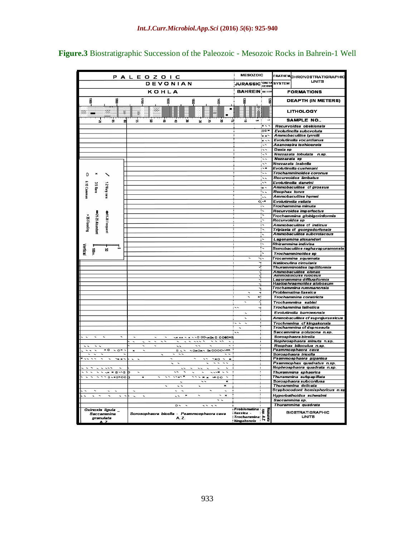|                                                                                                              | P A L E O Z O I C                                                                                                                                                                                                                          | <b>MESOZOIC</b>                                                                       | <b>ERATHEMCHRONOSTRATIGRAPHIC</b>                          |  |  |
|--------------------------------------------------------------------------------------------------------------|--------------------------------------------------------------------------------------------------------------------------------------------------------------------------------------------------------------------------------------------|---------------------------------------------------------------------------------------|------------------------------------------------------------|--|--|
|                                                                                                              | DEVONIAN                                                                                                                                                                                                                                   | JURASSIC <sup>ICRETA</sup>                                                            | <b>UNITS</b><br><b>SYSTEM</b>                              |  |  |
|                                                                                                              | KOHLA                                                                                                                                                                                                                                      | <b>BAHREIN</b> BETT                                                                   | <b>FORMATIONS</b>                                          |  |  |
| g<br>霣                                                                                                       | ã<br>霣                                                                                                                                                                                                                                     | g<br>遠                                                                                | <b>DEAPTH (IN METERS)</b>                                  |  |  |
|                                                                                                              | g<br>흉                                                                                                                                                                                                                                     |                                                                                       |                                                            |  |  |
| ₩<br> 開<br>₩                                                                                                 | ₩<br>Ш                                                                                                                                                                                                                                     |                                                                                       | <b>LITHOLOGY</b>                                           |  |  |
| a,<br>g<br>Ħ                                                                                                 | 2<br>u<br>¥<br>ᇇ<br>g,<br>G,<br>8<br>C.<br>님                                                                                                                                                                                               | $\blacksquare$<br>$\vec{a}$<br>u.                                                     | SAMPLE NO                                                  |  |  |
|                                                                                                              |                                                                                                                                                                                                                                            | $\overline{\phantom{a}}$                                                              | Recurvoides obskiensis                                     |  |  |
|                                                                                                              |                                                                                                                                                                                                                                            | $\overline{O}$<br>$\sim$ $\times$                                                     | Evolutinella subevoluta<br>Ammobaculites tyrrelli          |  |  |
|                                                                                                              |                                                                                                                                                                                                                                            | $\overline{\phantom{a}}$                                                              | Evolutinella vocantianus                                   |  |  |
|                                                                                                              |                                                                                                                                                                                                                                            | $\overline{\phantom{a}}$                                                              | Asanospira teshioensis                                     |  |  |
|                                                                                                              |                                                                                                                                                                                                                                            | iss<br>$\overline{\cdot}$                                                             | Daxia sp<br>Nezzazata lobulata n.sp.                       |  |  |
|                                                                                                              |                                                                                                                                                                                                                                            | $\overline{\phantom{a}}$                                                              | Nezzazata sp                                               |  |  |
|                                                                                                              |                                                                                                                                                                                                                                            | ᆕ<br>$\overline{\phantom{a}}$                                                         | Nezzazata isabella                                         |  |  |
|                                                                                                              |                                                                                                                                                                                                                                            | - ۱                                                                                   | Evolutinella cushmani<br>Trochamminoides coronus           |  |  |
| 0                                                                                                            |                                                                                                                                                                                                                                            | Ξ,                                                                                    | Recurvoides limbatus                                       |  |  |
| 6-10 Commor<br><b>3.5 Rare</b>                                                                               |                                                                                                                                                                                                                                            | $\ddotsc$                                                                             | Evolutinella darwini<br>Ammobaculites cf grossus           |  |  |
| 12 Very rare                                                                                                 |                                                                                                                                                                                                                                            | $\sim$<br>π,                                                                          | Reophax torus                                              |  |  |
|                                                                                                              |                                                                                                                                                                                                                                            | Ē,                                                                                    | Ammobaculites hymei                                        |  |  |
|                                                                                                              |                                                                                                                                                                                                                                            | $0 - x$                                                                               | Evolutinella vallata<br>Trochammina minuta                 |  |  |
|                                                                                                              |                                                                                                                                                                                                                                            | π                                                                                     | Recurvoides imperfectus                                    |  |  |
| 51.35 Abundant<br>●11.20 Frequent                                                                            |                                                                                                                                                                                                                                            |                                                                                       | Trochammina globigerinformis                               |  |  |
| > 35 Flooding                                                                                                |                                                                                                                                                                                                                                            | i s                                                                                   | Recurvoides sp<br>Ammobaculites cf indicus                 |  |  |
|                                                                                                              |                                                                                                                                                                                                                                            | ᡄ                                                                                     | Triplasia cf georgsdorfensis                               |  |  |
|                                                                                                              |                                                                                                                                                                                                                                            |                                                                                       | Ammobaculites subcretaceus                                 |  |  |
|                                                                                                              |                                                                                                                                                                                                                                            |                                                                                       | Lagenamina alexanderi<br>Rhizammina indivisa               |  |  |
| Vertica<br>呂                                                                                                 |                                                                                                                                                                                                                                            | $\overline{\phantom{0}}$                                                              | Semobaculites raghavapuramensis                            |  |  |
| 률                                                                                                            |                                                                                                                                                                                                                                            |                                                                                       | Trochamminoides sp                                         |  |  |
|                                                                                                              |                                                                                                                                                                                                                                            | ۰i۰                                                                                   | Trocammina squamata<br>Natiloculina circularis             |  |  |
|                                                                                                              |                                                                                                                                                                                                                                            |                                                                                       | Thuramminoides lapilliformis                               |  |  |
|                                                                                                              |                                                                                                                                                                                                                                            |                                                                                       | Ammobaculites elenae<br><b>Ammodiscuss rugosus</b>         |  |  |
|                                                                                                              |                                                                                                                                                                                                                                            |                                                                                       | Lagenammina difflugiformis<br>Haplophragmoides globosum    |  |  |
|                                                                                                              |                                                                                                                                                                                                                                            |                                                                                       | Trochammina rummanensis                                    |  |  |
|                                                                                                              |                                                                                                                                                                                                                                            | $\mathbf{x}$<br>$\overline{\phantom{0}}$                                              | Problematina liassica<br>Trochammina constricta            |  |  |
|                                                                                                              |                                                                                                                                                                                                                                            | $\overline{\phantom{0}}$                                                              | Trochammina sablei                                         |  |  |
|                                                                                                              |                                                                                                                                                                                                                                            | $\mathord{\sim}$<br>s.                                                                | Trochammina lathetica                                      |  |  |
|                                                                                                              |                                                                                                                                                                                                                                            |                                                                                       | Evolutinella barrowensis                                   |  |  |
|                                                                                                              |                                                                                                                                                                                                                                            | $\overline{\phantom{0}}$<br>$\mathbf{I}$<br>$\sim$ $\sim$<br>$\overline{\phantom{0}}$ | Ammobaculites cf suprajurassicus                           |  |  |
|                                                                                                              |                                                                                                                                                                                                                                            | $\overline{\phantom{0}}$                                                              | Trochmmina cf kingakensis<br>Trochammina cf depressula     |  |  |
|                                                                                                              |                                                                                                                                                                                                                                            | $\overline{\phantom{a}}$                                                              | Saccammina polygona n.sp.                                  |  |  |
| $\overline{\phantom{a}}$<br>$\overline{\phantom{0}}$<br>$\overline{\phantom{a}}$<br>$\overline{\phantom{a}}$ | <b>VANA A A V VO OOVADKO OOODED</b><br>$\overline{\phantom{0}}$<br>$\overline{\phantom{0}}$<br>$\overline{\phantom{a}}$<br>$\overline{\phantom{0}}$<br>$\sim$ $\sim$ $\sim$ $\sim$<br>$\overline{\phantom{0}}$<br>$\overline{\phantom{0}}$ |                                                                                       | Sorosphaera bicella<br>Nephrosphaera minuta n.sp.          |  |  |
|                                                                                                              | $\overline{\phantom{a}}$<br>$\overline{\phantom{a}}$                                                                                                                                                                                       |                                                                                       | Reophax biloculus n.sp.                                    |  |  |
| $\star$ o<br>$\sim$ o* $\sim$                                                                                | <b>NOXOXY B: 0000-VXX</b><br>$\overline{a}$                                                                                                                                                                                                |                                                                                       | Psammosphaera cava<br>Sorosphaera tricella                 |  |  |
| $\sim$ $\sim$<br>$\sim$ $\times$ $\sim$                                                                      | $\sim$ $\sim$ $\circ$                                                                                                                                                                                                                      |                                                                                       | Psammosphaera gigantea                                     |  |  |
| $\tilde{}$<br>$\tilde{}$                                                                                     | $\overline{\phantom{a}}$<br>$\overline{\phantom{a}}$<br>$\overline{\phantom{a}}$<br>$\overline{\phantom{0}}$<br>$\overline{\phantom{0}}$                                                                                                   |                                                                                       | Psammophax quadratus n.sp.<br>Nephrosphaera quadrata n.sp. |  |  |
| $\tilde{\phantom{a}}$<br>$\tilde{}$<br>$\sim$ $\sim$                                                         | $\sim$ $\sim$ $\times$<br>$\overline{\phantom{0}}$<br>$\overline{\phantom{0}}$<br>$\overline{\phantom{0}}$<br>$\overline{\phantom{0}}$                                                                                                     |                                                                                       | Thurammina sphaerica                                       |  |  |
| <b>VYY0-X0X00</b><br>$\sim$ $\sim$                                                                           | $\overline{\cdots}$<br>$\sqrt{2}$ $\sqrt{2}$ $\sqrt{2}$ $\sqrt{2}$ $\sqrt{2}$ $\sqrt{2}$<br>$\overline{\phantom{a}}$<br>$\overline{\phantom{0}}$<br>$\blacksquare$                                                                         |                                                                                       | Thurammina subpapillata<br>Sorosphaera subconfusa          |  |  |
|                                                                                                              | $\mathbf{r}$                                                                                                                                                                                                                               |                                                                                       | Thurammina delicata                                        |  |  |
|                                                                                                              |                                                                                                                                                                                                                                            |                                                                                       | Scyphocodont hemisphericus n.sp                            |  |  |
| ╮                                                                                                            | $\overline{\phantom{0}}$<br>$\boldsymbol{\times}$<br>--<br>~ ~                                                                                                                                                                             |                                                                                       | Hyperbathoides schwalmi<br>Saccammina sp.                  |  |  |
|                                                                                                              | $\circ$<br>$\overline{\phantom{a}}$<br>$\overline{\phantom{a}}$<br>$\overline{\phantom{a}}$                                                                                                                                                |                                                                                       | Thurammina quadrata                                        |  |  |
| Oxinoxis ligula                                                                                              | Sorosophaera bicella - Psammosphaera cava                                                                                                                                                                                                  | Problematina<br>  Problematina<br>  P                                                 | <b>BIOSTRATIGRAPHIC</b>                                    |  |  |
| Saccammina<br>granulata<br>A<br>7                                                                            | A. Z.                                                                                                                                                                                                                                      | <b>FIRZEZO</b><br>kingakensis<br>Kingakensis                                          | <b>UNITS</b>                                               |  |  |

**Figure.3** Biostratigraphic Succession of the Paleozoic - Mesozoic Rocks in Bahrein-1 Well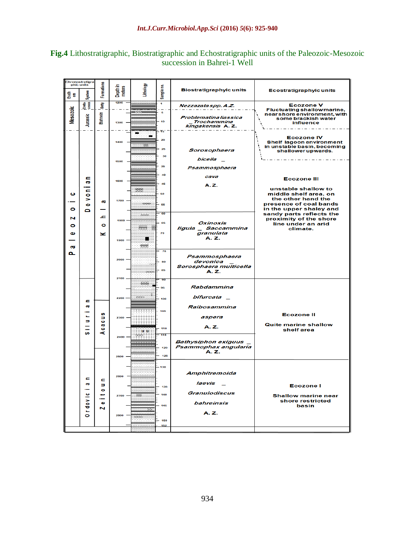# **Fig.4** Lithostratigraphic, Biostratigraphic and Echostratigraphic units of the Paleozoic-Mesozoic succession in Bahrei-1 Well

| <b>Chronostratigra</b><br>-phic units |                                                                   |                                                      |                                                      |               |                            |                                                                 |                                                                                                                                                                                                                                                                                                                                                                                                                                                                                                                                                       |  |
|---------------------------------------|-------------------------------------------------------------------|------------------------------------------------------|------------------------------------------------------|---------------|----------------------------|-----------------------------------------------------------------|-------------------------------------------------------------------------------------------------------------------------------------------------------------------------------------------------------------------------------------------------------------------------------------------------------------------------------------------------------------------------------------------------------------------------------------------------------------------------------------------------------------------------------------------------------|--|
| System<br>퉒                           |                                                                   |                                                      | <b>Formations</b><br>Lithology<br>Depth in<br>meters |               | Sample no.                 | <b>Biostratigraphyic units</b>                                  | <b>Ecostratigraphyic units</b>                                                                                                                                                                                                                                                                                                                                                                                                                                                                                                                        |  |
|                                       | Creta-<br>ceous<br><b>Betty</b>                                   |                                                      | 1200                                                 |               | $\overline{1}$             | Nezzazata spp. A.Z.                                             | <b>Ecozone V</b><br>Fluctuating shallow marine,                                                                                                                                                                                                                                                                                                                                                                                                                                                                                                       |  |
| <b>Mesozoic</b>                       | Jurassic                                                          | <b>Bahrein</b>                                       | $1300 -$                                             | $-1111$       | - 6<br>10<br>15            | Problematina liassica<br><b>Trochammina</b><br>kingakensis A.Z. | near shore environment, with<br>some brackish water<br><b>influence</b><br>$\frac{1}{2} \left( \frac{1}{2} \right) \left( \frac{1}{2} \right) \left( \frac{1}{2} \right) \left( \frac{1}{2} \right) \left( \frac{1}{2} \right) \left( \frac{1}{2} \right) \left( \frac{1}{2} \right) \left( \frac{1}{2} \right) \left( \frac{1}{2} \right) \left( \frac{1}{2} \right) \left( \frac{1}{2} \right) \left( \frac{1}{2} \right) \left( \frac{1}{2} \right) \left( \frac{1}{2} \right) \left( \frac{1}{2} \right) \left( \frac{1}{2} \right) \left( \frac$ |  |
|                                       |                                                                   |                                                      | 1400                                                 | ÷             | 20<br>25<br>30             | Sorosophaera                                                    | <b>Ecozone IV</b><br><b>Shelf lagoon environment</b><br>in unstable basin, becoming<br>shallower upwards.                                                                                                                                                                                                                                                                                                                                                                                                                                             |  |
|                                       | c<br>$\overline{\mathbf{a}}$<br>E<br>۰<br>$\Rightarrow$<br>Φ<br>Δ |                                                      | 1500                                                 |               | 35                         | bicella                                                         |                                                                                                                                                                                                                                                                                                                                                                                                                                                                                                                                                       |  |
|                                       |                                                                   |                                                      | 1600                                                 |               | 40                         | Psammosphaera<br>cava                                           |                                                                                                                                                                                                                                                                                                                                                                                                                                                                                                                                                       |  |
|                                       |                                                                   |                                                      |                                                      |               | 45                         | A.Z.                                                            | <b>Ecozone III</b>                                                                                                                                                                                                                                                                                                                                                                                                                                                                                                                                    |  |
| ပ                                     |                                                                   |                                                      | 1700                                                 | 幸幸            | 50                         |                                                                 | unstable shallow to<br>middle shelf area, on                                                                                                                                                                                                                                                                                                                                                                                                                                                                                                          |  |
| $\bullet$                             |                                                                   | <b>GS</b>                                            |                                                      | فتنتظ         | $-55$<br>60                |                                                                 | the other hand the<br>presence of coal bands<br>in the upper shaley and                                                                                                                                                                                                                                                                                                                                                                                                                                                                               |  |
| N<br>۰                                |                                                                   | <u>ے</u><br>$\bullet$                                | 1800                                                 | - 1<br>臣王     | 65                         | Oxinoxis<br>liqula<br><b>Saccammina</b>                         | sandy parts reflects the<br>proximity of the shore<br>line under an arid<br>climate.                                                                                                                                                                                                                                                                                                                                                                                                                                                                  |  |
| Φ<br>$\overline{\mathbf{c}}$          |                                                                   | z                                                    | $1900 -$                                             | ■<br>幸幸       | 70                         | granulata<br>A. Z.                                              |                                                                                                                                                                                                                                                                                                                                                                                                                                                                                                                                                       |  |
| Δ.                                    |                                                                   |                                                      | 2000                                                 |               | 75<br>80<br>85             | Psammosphaera<br>devonica<br>Sorosphaera multicella             |                                                                                                                                                                                                                                                                                                                                                                                                                                                                                                                                                       |  |
|                                       |                                                                   |                                                      | 2100                                                 | تستنبذ        |                            | A. Z.                                                           |                                                                                                                                                                                                                                                                                                                                                                                                                                                                                                                                                       |  |
|                                       |                                                                   |                                                      |                                                      | 辛辛            | का<br>95                   | Rabdammina                                                      |                                                                                                                                                                                                                                                                                                                                                                                                                                                                                                                                                       |  |
|                                       | e                                                                 |                                                      | 2200 -                                               | š<br>تتنتت    | 100                        | bifurcata _                                                     |                                                                                                                                                                                                                                                                                                                                                                                                                                                                                                                                                       |  |
|                                       | αđ<br>e.<br>Ξ<br>œ                                                | w<br>э<br>ò<br>$\overline{\omega}$<br>$\bullet$<br>ď |                                                      | 37788888      | 105                        | Raibosammina                                                    |                                                                                                                                                                                                                                                                                                                                                                                                                                                                                                                                                       |  |
|                                       |                                                                   |                                                      | 2300                                                 |               |                            | aspera                                                          | <b>Ecozone II</b>                                                                                                                                                                                                                                                                                                                                                                                                                                                                                                                                     |  |
|                                       |                                                                   |                                                      |                                                      |               | A. Z.<br>110<br><b>g</b> g |                                                                 | <b>Quite marine shallow</b><br>shelf area                                                                                                                                                                                                                                                                                                                                                                                                                                                                                                             |  |
|                                       |                                                                   |                                                      | 2400                                                 | 带             | 115                        | <b>Bathysiphon exiguus</b><br>Psammophax angularia<br>A. Z.     |                                                                                                                                                                                                                                                                                                                                                                                                                                                                                                                                                       |  |
|                                       |                                                                   |                                                      |                                                      |               | 120<br>125                 |                                                                 |                                                                                                                                                                                                                                                                                                                                                                                                                                                                                                                                                       |  |
|                                       | c<br>αđ<br>$\mathbf{e}$<br>dov<br>Ē.<br>$\bullet$                 | c<br>Б<br>۰<br>$\bullet$<br>N                        | 2500                                                 |               |                            |                                                                 |                                                                                                                                                                                                                                                                                                                                                                                                                                                                                                                                                       |  |
|                                       |                                                                   |                                                      | 2600                                                 |               | $-130$                     | Amphitremoida                                                   |                                                                                                                                                                                                                                                                                                                                                                                                                                                                                                                                                       |  |
|                                       |                                                                   |                                                      |                                                      |               | 135                        | laevis                                                          | <b>Ecozone I</b>                                                                                                                                                                                                                                                                                                                                                                                                                                                                                                                                      |  |
|                                       |                                                                   |                                                      | $2700 -$                                             | <b>Second</b> | 140                        | Granulodiscus                                                   | <b>Shallow marine near</b>                                                                                                                                                                                                                                                                                                                                                                                                                                                                                                                            |  |
|                                       |                                                                   |                                                      |                                                      | $\pm$         | 145                        | bahreinsis                                                      | shore restricted<br>basin                                                                                                                                                                                                                                                                                                                                                                                                                                                                                                                             |  |
|                                       |                                                                   |                                                      | 2800                                                 | an as         | $-150$                     | A. Z.                                                           |                                                                                                                                                                                                                                                                                                                                                                                                                                                                                                                                                       |  |
|                                       |                                                                   |                                                      |                                                      |               | 152                        |                                                                 |                                                                                                                                                                                                                                                                                                                                                                                                                                                                                                                                                       |  |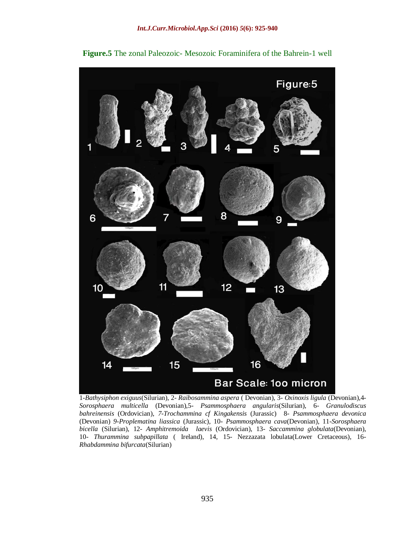

**Figure.5** The zonal Paleozoic- Mesozoic Foraminifera of the Bahrein-1 well

1-*Bathysiphon exiguus*(Silurian), 2- *Raibosammina aspera* ( Devonian), 3- *Oxinoxis ligula* (Devonian),4- *Sorosphaera multicella* (Devonian),5- *Psammosphaera angularis*(Silurian), 6- *Granulodiscus bahreinensis* (Ordovician), *7-Trochammina cf Kingakensis* (Jurassic)8*- Psammosphaera devonica* (Devonian) *9-Proplematina liassica* (Jurassic), 10- *Psammosphaera cava*(Devonian), 11-*Sorosphaera bicella* (Silurian), 12- *Amphitremoida laevis* (Ordovician), 13- *Saccammina globulata*(Devonian), 10- *Thurammina subpapillata* ( Ireland), 14, 15- Nezzazata lobulata(Lower Cretaceous), 16- *Rhabdammina bifurcata*(Silurian)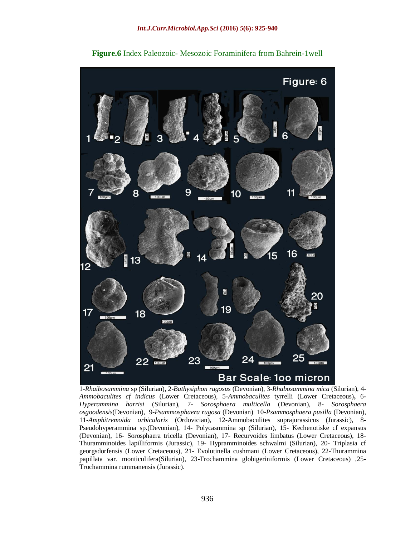

**Figure.6** Index Paleozoic- Mesozoic Foraminifera from Bahrein-1well

1-*Rhaibosammina* sp (Silurian), 2-*Bathysiphon rugosus* (Devonian), 3**-***Rhabosammina mica* (Silurian), 4- *Ammobaculites cf indicus* (Lower Cretaceous), 5-*Ammobaculites* tyrrelli (Lower Cretaceous)**,** 6**-** *Hyperammina harrisi* (Silurian)*,* 7- *Sorosphaera multicella* (Devonian), 8- *Sorosphaera osgoodensis*(Devonian)*,* 9-*Psammosphaera rugosa* (Devonian)10-*Psammosphaera pusilla* (Devonian), 11-*Amphitremoida orbicularis* (Ordovician), 12-Ammobaculites suprajurassicus (Jurassic), 8- Pseudohyperammina sp.(Devonian), 14- Polycasmmina sp (Silurian), 15- Kechenotiske cf expansus (Devonian), 16- Sorosphaera tricella (Devonian), 17- Recurvoides limbatus (Lower Cretaceous), 18- Thuramminoides lapilliformis (Jurassic), 19- Hypramminoides schwalmi (Silurian), 20- Triplasia cf georgsdorfensis (Lower Cretaceous), 21- Evolutinella cushmani (Lower Cretaceous), 22-Thurammina papillata var. monticulifera(Silurian), 23-Trochammina globigeriniformis (Lower Cretaceous) ,25- Trochammina rummanensis (Jurassic).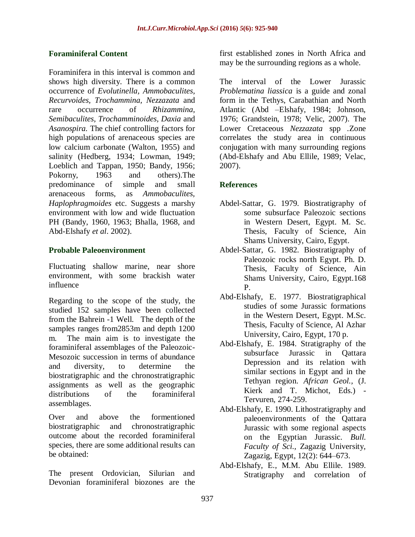# **Foraminiferal Content**

Foraminifera in this interval is common and shows high diversity. There is a common occurrence of *Evolutinella, Ammobaculites, Recurvoides, Trochammina, Nezzazata* and rare occurrence of *Rhizammina, Semibaculites, Trochamminoides, Daxia* and *Asanospira.* The chief controlling factors for high populations of arenaceous species are low calcium carbonate (Walton, 1955) and salinity (Hedberg, 1934; Lowman, 1949; Loeblich and Tappan, 1950; Bandy, 1956; Pokorny, 1963 and others).The predominance of simple and small arenaceous forms, as *Ammobaculites, Haplophragmoides* etc. Suggests a marshy environment with low and wide fluctuation PH (Bandy, 1960, 1963; Bhalla, 1968, and Abd-Elshafy *et al*. 2002).

# **Probable Paleoenvironment**

Fluctuating shallow marine, near shore environment, with some brackish water influence

Regarding to the scope of the study, the studied 152 samples have been collected from the Bahrein -1 Well. The depth of the samples ranges from2853m and depth 1200 m. The main aim is to investigate the foraminiferal assemblages of the Paleozoic-Mesozoic succession in terms of abundance and diversity, to determine the biostratigraphic and the chronostratigraphic assignments as well as the geographic distributions of the foraminiferal assemblages.

Over and above the formentioned biostratigraphic and chronostratigraphic outcome about the recorded foraminiferal species, there are some additional results can be obtained:

The present Ordovician, Silurian and Devonian foraminiferal biozones are the first established zones in North Africa and may be the surrounding regions as a whole.

The interval of the Lower Jurassic *Problematina liassica* is a guide and zonal form in the Tethys, Carabathian and North Atlantic (Abd –Elshafy, 1984; Johnson, 1976; Grandstein, 1978; Velic, 2007). The Lower Cretaceous *Nezzazata* spp *.*Zone correlates the study area in continuous conjugation with many surrounding regions (Abd-Elshafy and Abu Ellile, 1989; Velac, 2007).

# **References**

- Abdel-Sattar, G. 1979. Biostratigraphy of some subsurface Paleozoic sections in Western Desert, Egypt. M. Sc. Thesis, Faculty of Science, Ain Shams University, Cairo, Egypt.
- Abdel-Sattar, G. 1982. Biostratigraphy of Paleozoic rocks north Egypt. Ph. D. Thesis, Faculty of Science, Ain Shams University, Cairo, Egypt.168 P.
- Abd-Elshafy, E. 1977. Biostratigraphical studies of some Jurassic formations in the Western Desert, Egypt. M.Sc. Thesis, Faculty of Science, Al Azhar University, Cairo, Egypt, 170 p.
- Abd-Elshafy, E. 1984. Stratigraphy of the subsurface Jurassic in Qattara Depression and its relation with similar sections in Egypt and in the Tethyan region. *African Geol.,* (J. Kierk and T. Michot, Eds.) - Tervuren, 274-259.
- Abd-Elshafy, E. 1990. Lithostratigraphy and paleoenvironments of the Qattara Jurassic with some regional aspects on the Egyptian Jurassic. *Bull. Faculty of Sci.,* Zagazig University, Zagazig, Egypt, 12(2): 644–673.
- Abd-Elshafy, E., M.M. Abu Ellile. 1989. Stratigraphy and correlation of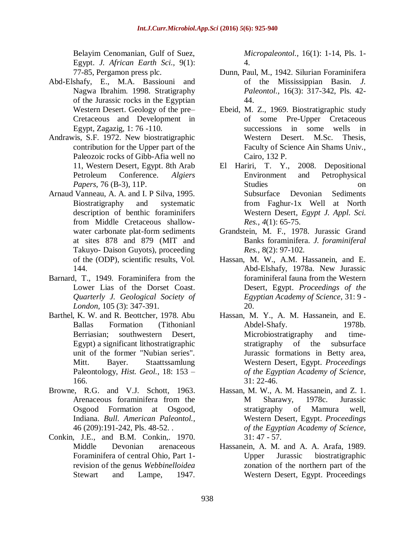Belayim Cenomanian, Gulf of Suez, Egypt. *J. African Earth Sci.,* 9(1): 77-85, Pergamon press plc.

- Abd-Elshafy, E., M.A. Bassiouni and Nagwa Ibrahim. 1998. Stratigraphy of the Jurassic rocks in the Egyptian Western Desert. Geology of the pre– Cretaceous and Development in Egypt, Zagazig, 1: 76 -110.
- Andrawis, S.F. 1972. New biostratigraphic contribution for the Upper part of the Paleozoic rocks of Gibb-Afia well no 11, Western Desert, Egypt. 8th Arab Petroleum Conference. *Algiers Papers,* 76 (B-3), 11P.
- Arnaud Vanneau, A. A. and I. P Silva, 1995. Biostratigraphy and systematic description of benthic foraminifers from Middle Cretaceous shallowwater carbonate plat-form sediments at sites 878 and 879 (MIT and Takuyo- Daison Guyots), proceeding of the (ODP), scientific results, Vol. 144.
- Barnard, T., 1949. Foraminifera from the Lower Lias of the Dorset Coast. *Quarterly J. Geological Society of London,* 105 (3): 347-391.
- Barthel, K. W. and R. Beottcher, 1978. Abu Ballas Formation (Tithonianl Berriasian; southwestern Desert, Egypt) a significant lithostratigraphic unit of the former "Nubian series". Mitt. Bayer. Staattssamlung Paleontology, *Hist. Geol.*, 18: 153 – 166.
- Browne, R.G. and V.J. Schott, 1963. Arenaceous foraminifera from the Osgood Formation at Osgood, Indiana. *Bull. American Paleontol.,*  46 (209):191-242, Pls. 48-52. .
- Conkin, J.E., and B.M. Conkin,. 1970. Middle Devonian arenaceous Foraminifera of central Ohio, Part 1 revision of the genus *Webbinelloidea* Stewart and Lampe, 1947.

*Micropaleontol.,* 16(1): 1-14, Pls. 1- 4.

- Dunn, Paul, M., 1942. Silurian Foraminifera of the Mississippian Basin. *J. Paleontol.,* 16(3): 317-342, Pls. 42- 44.
- Ebeid, M. Z., 1969. Biostratigraphic study of some Pre-Upper Cretaceous successions in some wells in Western Desert. M.Sc. Thesis, Faculty of Science Ain Shams Univ., Cairo, 132 P.
- El Hariri, T. Y., 2008. Depositional Environment and Petrophysical Studies on on on the studies on on the studies on the studies on  $\alpha$ Subsurface Devonian Sediments from Faghur-1x Well at North Western Desert, *Egypt J. Appl. Sci. Res., 4*(1): 65-75.
- Grandstein, M. F., 1978. Jurassic Grand Banks foraminifera. *J. foraminiferal Res.,* 8(2): 97-102.
- Hassan, M. W., A.M. Hassanein, and E. Abd-Elshafy, 1978a. New Jurassic foraminiferal fauna from the Western Desert, Egypt. *Proceedings of the Egyptian Academy of Science*, 31: 9 - 20.
- Hassan, M. Y., A. M. Hassanein, and E. Abdel-Shafy. 1978b. Microbiostratigraphy and timestratigraphy of the subsurface Jurassic formations in Betty area, Western Desert, Egypt. *Proceedings of the Egyptian Academy of Science,* 31: 22-46.
- Hassan, M. W., A. M. Hassanein, and Z. 1. M Sharawy, 1978c. Jurassic stratigraphy of Mamura well, Western Desert, Egypt. *Proceedings of the Egyptian Academy of Science,*  31: 47 - 57.
- Hassanein, A. M. and A. A. Arafa, 1989. Upper Jurassic biostratigraphic zonation of the northern part of the Western Desert, Egypt. Proceedings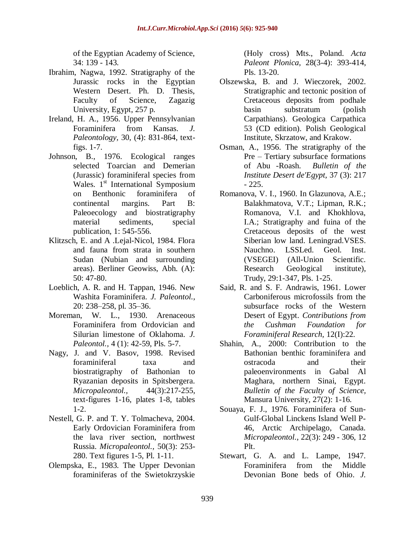of the Egyptian Academy of Science, 34: 139 - 143.

- Ibrahim, Nagwa, 1992. Stratigraphy of the Jurassic rocks in the Egyptian Western Desert. Ph. D. Thesis, Faculty of Science, Zagazig University, Egypt, 257 p.
- Ireland, H. A., 1956. Upper Pennsylvanian Foraminifera from Kansas. *J. Paleontology,* 30, (4): 831-864, textfigs. 1-7.
- Johnson, B., 1976. Ecological ranges selected Toarcian and Demerian (Jurassic) foraminiferal species from Wales.  $1<sup>st</sup>$  International Symposium on Benthonic foraminifera of continental margins. Part B: Paleoecology and biostratigraphy material sediments, special publication, 1: 545-556.
- Klitzsch, E. and A .Lejal-Nicol, 1984. Flora and fauna from strata in southern Sudan (Nubian and surrounding areas). Berliner Geowiss, Abh. (A): 50: 47-80.
- Loeblich, A. R. and H. Tappan, 1946. New Washita Foraminifera. *J. Paleontol.,* 20: 238–258, pl. 35–36.
- Moreman, W. L., 1930. Arenaceous Foraminifera from Ordovician and Silurian limestone of Oklahoma. *J. Paleontol.,* 4 (1): 42-59, Pls. 5-7.
- Nagy, J. and V. Basov, 1998. Revised foraminiferal taxa and biostratigraphy of Bathonian to Ryazanian deposits in Spitsbergera. *Micropaleontol.,* 44(3):217-255, text-figures 1-16, plates 1-8, tables 1-2.
- Nestell, G. P. and T. Y. Tolmacheva, 2004. Early Ordovician Foraminifera from the lava river section, northwest Russia. *Micropaleontol.,* 50(3): 253- 280. Text figures 1-5, Pl. 1-11.
- Olempska, E., 1983. The Upper Devonian foraminiferas of the Swietokrzyskie

(Holy cross) Mts., Poland. *Acta Paleont Plonica,* 28(3-4): 393-414, Pls. 13-20.

- Olszewska, B. and J. Wieczorek, 2002. Stratigraphic and tectonic position of Cretaceous deposits from podhale basin substratum (polish Carpathians). Geologica Carpathica 53 (CD edition). Polish Geological Institute, Skrzatow, and Krakow.
- Osman, A., 1956. The stratigraphy of the Pre – Tertiary subsurface formations of Abu -Roash. *Bulletin of the Institute Desert de'Egypt,* 37 (3): 217 - 225.
- Romanova, V. I., 1960. In Glazunova, A.E.; Balakhmatova, V.T.; Lipman, R.K.; Romanova, V.I. and Khokhlova, I.A.; Stratigraphy and fuina of the Cretaceous deposits of the west Siberian low land. Leningrad.VSES. Nauchno. LSSLed. Geol. Inst. (VSEGEI) (All-Union Scientific. Research Geological institute), Trudy, 29:1-347, Pls. 1-25.
- Said, R. and S. F. Andrawis, 1961. Lower Carboniferous microfossils from the subsurface rocks of the Western Desert of Egypt. *Contributions from the Cushman Foundation for Foraminiferal Research,* 12(I):22.
- Shahin, A., 2000: Contribution to the Bathonian benthic foraminifera and ostracoda and their paleoenvironments in Gabal Al Maghara, northern Sinai, Egypt. *Bulletin of the Faculty of Science,*  Mansura University, 27(2): 1-16.
- Souaya, F. J., 1976. Foraminifera of Sun-Gulf-Global Linckens Island Well P-46, Arctic Archipelago, Canada. *Micropaleontol.*, 22(3): 249 - 306, 12 Plt.
- Stewart, G. A. and L. Lampe, 1947. Foraminifera from the Middle Devonian Bone beds of Ohio. *J.*